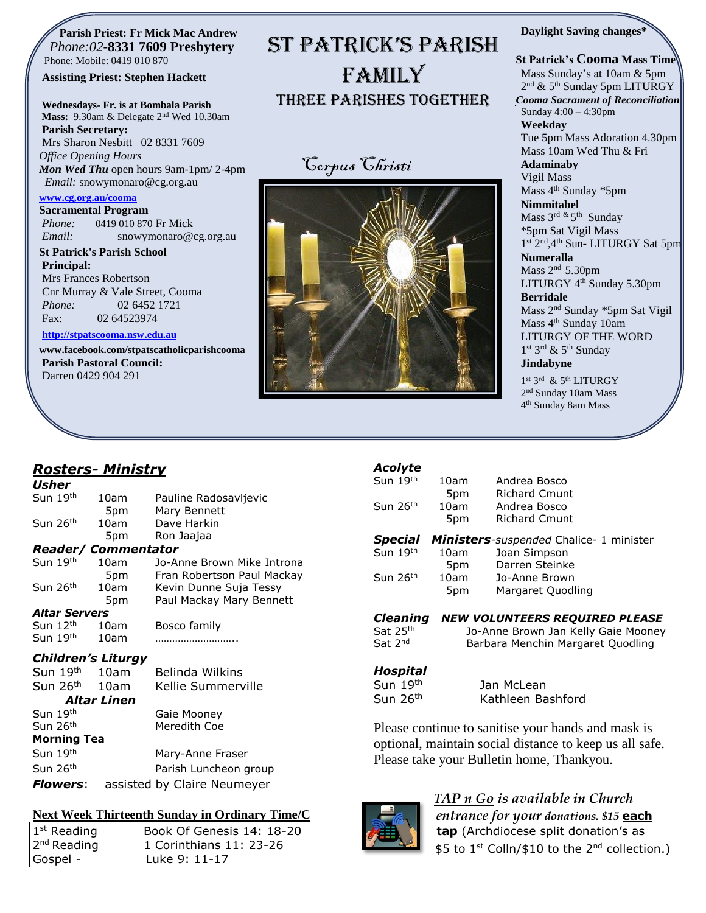#### **Parish Priest: Fr Mick Mac Andrew**  *Phone:02-***8331 7609 Presbytery** Phone: Mobile: 0419 010 870

#### **Assisting Priest: Stephen Hackett**

**Wednesdays- Fr. is at Bombala Parish Mass:** 9.30am & Delegate 2nd Wed 10.30am

**Parish Secretary:** Mrs Sharon Nesbitt 02 8331 7609 *Office Opening Hours Mon Wed Thu* open hours 9am-1pm/ 2-4pm *Email:* snowymonaro@cg.org.au

#### **[www.cg,org.au/cooma](http://www.cg,org.au/cooma)**

**Sacramental Program** *Phone:*0419 010 870 Fr Mick *Email:* snowymonaro@cg.org.au

**St Patrick's Parish School Principal:** Mrs Frances Robertson Cnr Murray & Vale Street, Cooma *Phone:* 02 6452 1721 Fax: 02 64523974

#### **[http://stpatscooma.nsw.edu.au](http://stpatscooma.nsw.edu.au/)**

**[www.facebook.com/stpatscatholicparishcooma](http://www.facebook.com/stpatscatholicparishcooma) Parish Pastoral Council:** Darren 0429 904 291

# ST PATRICK'S PARISH FAMILY Three Parishes Together





#### **Daylight Saving changes\***

**St Patrick's Cooma Mass Time** Mass Sunday's at 10am & 5pm 2<sup>nd</sup> & 5<sup>th</sup> Sunday 5pm LITURGY *Cooma Sacrament of Reconciliation* Sunday 4:00 – 4:30pm **Weekday**  Tue 5pm Mass Adoration 4.30pm Mass 10am Wed Thu & Fri **Adaminaby** Vigil Mass Mass 4<sup>th</sup> Sunday \*5pm **Nimmitabel** Mass 3<sup>rd &</sup> 5<sup>th</sup> Sunday \*5pm Sat Vigil Mass 1st 2<sup>nd</sup>, 4<sup>th</sup> Sun- LITURGY Sat 5pm **Numeralla** Mass 2<sup>nd</sup> 5.30pm LITURGY 4<sup>th</sup> Sunday 5.30pm **Berridale** Mass 2nd Sunday \*5pm Sat Vigil Mass 4<sup>th</sup> Sunday 10am LITURGY OF THE WORD 1st 3rd & 5<sup>th</sup> Sunday **Jindabyne**

1st 3rd & 5th LITURGY 2<sup>nd</sup> Sunday 10am Mass 4 th Sunday 8am Mass

### *Rosters- Ministry*

| Usher                            |                    |                             |
|----------------------------------|--------------------|-----------------------------|
| Sun 19 <sup>th</sup>             | 10am               | Pauline Radosavljevic       |
|                                  | 5pm                | Mary Bennett                |
| Sun 26 <sup>th</sup>             | 10am               | Dave Harkin                 |
|                                  | 5pm                | Ron Jaajaa                  |
| <b>Reader/ Commentator</b>       |                    |                             |
| Sun 19th                         | 10am               | Jo-Anne Brown Mike Introna  |
|                                  | 5pm                | Fran Robertson Paul Mackay  |
| Sun 26 <sup>th</sup>             | 10am               | Kevin Dunne Suja Tessy      |
|                                  | 5pm                | Paul Mackay Mary Bennett    |
| <i><b>Altar Servers</b></i>      |                    |                             |
| Sun 12 <sup>th</sup>             | 10am               | Bosco family                |
| Sun 19 <sup>th</sup>             | 10am               |                             |
| <i><b>Children's Liturgy</b></i> |                    |                             |
| Sun 19 <sup>th</sup>             | 10am               | Belinda Wilkins             |
| Sun 26 <sup>th</sup>             | 10am               | Kellie Summerville          |
|                                  | <b>Altar Linen</b> |                             |
| Sun 19 <sup>th</sup>             |                    | Gaie Mooney                 |
| Sun 26th                         |                    | Meredith Coe                |
| Morning Tea                      |                    |                             |
| Sun 19 <sup>th</sup>             |                    | Mary-Anne Fraser            |
| Sun 26 <sup>th</sup>             |                    | Parish Luncheon group       |
| <i><b>Flowers:</b></i>           |                    | assisted by Claire Neumeyer |

#### **Next Week Thirteenth Sunday in Ordinary Time/C**

| $1st$ Reading           | Book Of Genesis 14: 18-20 |
|-------------------------|---------------------------|
| 2 <sup>nd</sup> Reading | 1 Corinthians 11: 23-26   |
| Gospel -                | Luke 9: 11-17             |

# *Acolyte*

| Sun 19 <sup>th</sup> | 10am | Andrea Bosco                                            |
|----------------------|------|---------------------------------------------------------|
|                      | 5pm  | <b>Richard Cmunt</b>                                    |
| Sun 26 <sup>th</sup> | 10am | Andrea Bosco                                            |
|                      | 5pm  | <b>Richard Cmunt</b>                                    |
|                      |      |                                                         |
|                      |      | <b>Special Ministers</b> -suspended Chalice- 1 minister |
|                      | 10am | Joan Simpson                                            |
| Sun 19th             | 5pm  | Darren Steinke                                          |
| Sun 26 <sup>th</sup> | 10am | Jo-Anne Brown                                           |

#### *Cleaning NEW VOLUNTEERS REQUIRED PLEASE*

- Sat 25th
- Sat 2<sup>nd</sup>

## *Hospital*

Sun 19<sup>th</sup> Jan McLean

Sun 26<sup>th</sup> Kathleen Bashford

Jo-Anne Brown Jan Kelly Gaie Mooney

Barbara Menchin Margaret Quodling

Please continue to sanitise your hands and mask is optional, maintain social distance to keep us all safe. Please take your Bulletin home, Thankyou.



### *TAP n Go is available in Church*

*entrance for your donations. \$15* **each tap** (Archdiocese split donation's as \$5 to 1<sup>st</sup> Colln/\$10 to the 2<sup>nd</sup> collection.)